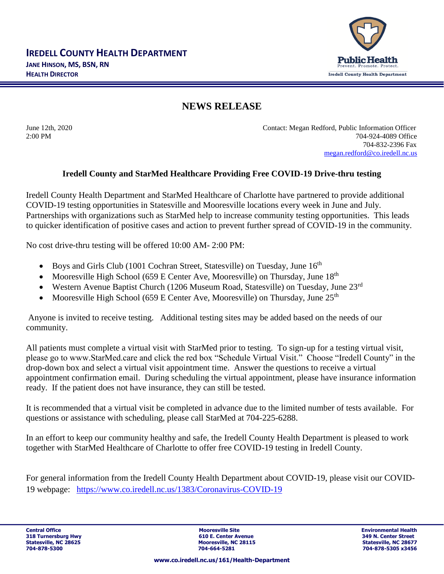

## **NEWS RELEASE**

June 12th, 2020 Contact: Megan Redford, Public Information Officer 2:00 PM 704-924-4089 Office 704-832-2396 Fax [megan.redford@co.iredell.nc.us](mailto:megan.redford@co.iredell.nc.us)

## **Iredell County and StarMed Healthcare Providing Free COVID-19 Drive-thru testing**

Iredell County Health Department and StarMed Healthcare of Charlotte have partnered to provide additional COVID-19 testing opportunities in Statesville and Mooresville locations every week in June and July. Partnerships with organizations such as StarMed help to increase community testing opportunities. This leads to quicker identification of positive cases and action to prevent further spread of COVID-19 in the community.

No cost drive-thru testing will be offered 10:00 AM- 2:00 PM:

- Boys and Girls Club (1001 Cochran Street, Statesville) on Tuesday, June  $16<sup>th</sup>$
- Mooresville High School (659 E Center Ave, Mooresville) on Thursday, June  $18<sup>th</sup>$
- Western Avenue Baptist Church (1206 Museum Road, Statesville) on Tuesday, June 23rd
- Mooresville High School (659 E Center Ave, Mooresville) on Thursday, June  $25<sup>th</sup>$

Anyone is invited to receive testing. Additional testing sites may be added based on the needs of our community.

All patients must complete a virtual visit with StarMed prior to testing. To sign-up for a testing virtual visit, please go to www.StarMed.care and click the red box "Schedule Virtual Visit." Choose "Iredell County" in the drop-down box and select a virtual visit appointment time. Answer the questions to receive a virtual appointment confirmation email. During scheduling the virtual appointment, please have insurance information ready. If the patient does not have insurance, they can still be tested.

It is recommended that a virtual visit be completed in advance due to the limited number of tests available. For questions or assistance with scheduling, please call StarMed at 704-225-6288.

In an effort to keep our community healthy and safe, the Iredell County Health Department is pleased to work together with StarMed Healthcare of Charlotte to offer free COVID-19 testing in Iredell County.

For general information from the Iredell County Health Department about COVID-19, please visit our COVID-19 webpage: <https://www.co.iredell.nc.us/1383/Coronavirus-COVID-19>